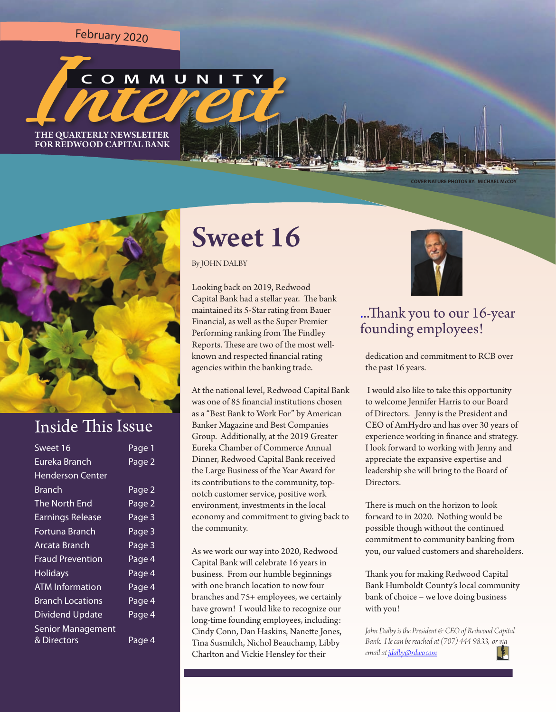<sup>F</sup>eb<sup>r</sup>ua<sup>r</sup><sup>y</sup> <sup>2</sup>02<sup>0</sup>



FOR REDWOOD CAPITAL BANK

**COVER NATURE PHOTOS BY: MICHAEL McCOY**



### **Inside This Issue**

| Sweet 16                 | Page 1 |
|--------------------------|--------|
| Eureka Branch            | Page 2 |
| <b>Henderson Center</b>  |        |
| Branch                   | Page 2 |
| The North End            | Page 2 |
| <b>Earnings Release</b>  | Page 3 |
| Fortuna Branch           | Page 3 |
| Arcata Branch            | Page 3 |
| <b>Fraud Prevention</b>  | Page 4 |
| <b>Holidays</b>          | Page 4 |
| <b>ATM Information</b>   | Page 4 |
| <b>Branch Locations</b>  | Page 4 |
| <b>Dividend Update</b>   | Page 4 |
| <b>Senior Management</b> |        |
| & Directors              | Page 4 |

# Sweet 16

By JOHN DALBY

Looking back on 2019, Redwood Capital Bank had a stellar year. The bank maintained its 5-Star rating from Bauer Financial, as well as the Super Premier Performing ranking from The Findley Reports. These are two of the most wellknown and respected fnancial rating agencies within the banking trade.

At the national level, Redwood Capital Bank was one of 85 fnancial institutions chosen as a "Best Bank to Work For" by American Banker Magazine and Best Companies Group. Additionally, at the 2019 Greater Eureka Chamber of Commerce Annual Dinner, Redwood Capital Bank received the Large Business of the Year Award for its contributions to the community, topnotch customer service, positive work environment, investments in the local economy and commitment to giving back to the community.

As we work our way into 2020, Redwood Capital Bank will celebrate 16 years in business. From our humble beginnings with one branch location to now four branches and 75+ employees, we certainly have grown! I would like to recognize our long-time founding employees, including: Cindy Conn, Dan Haskins, Nanete Jones, Tina Susmilch, Nichol Beauchamp, Libby Charlton and Vickie Hensley for their



### ...Tank you to our 16-year founding employees!

dedication and commitment to RCB over the past 16 years.

 I would also like to take this opportunity to welcome Jennifer Harris to our Board of Directors. Jenny is the President and CEO of AmHydro and has over 30 years of experience working in fnance and strategy. I look forward to working with Jenny and appreciate the expansive expertise and leadership she will bring to the Board of Directors.

There is much on the horizon to look forward to in 2020. Nothing would be possible though without the continued commitment to community banking from you, our valued customers and shareholders.

Thank you for making Redwood Capital Bank Humboldt County's local community bank of choice – we love doing business with you!

*John Dalby is the President & CEO of Redwood Capital Bank. He can be reached at (707) 444-9833, or via email at jdalby@rdwo.com*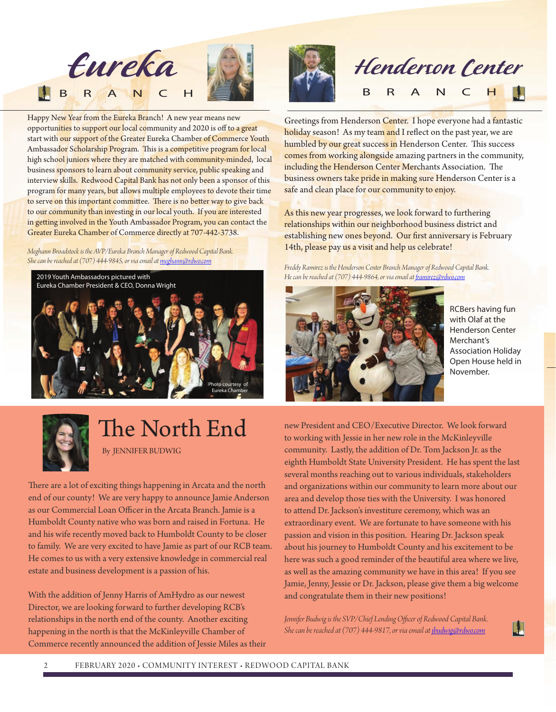

Happy New Year from the Eureka Branch! A new year means new opportunities to support our local community and 2020 is off to a great start with our support of the Greater Eureka Chamber of Commerce Youth Ambassador Scholarship Program. This is a competitive program for local high school juniors where they are matched with community-minded, local business sponsors to learn about community service, public speaking and interview skills. Redwood Capital Bank has not only been a sponsor of this program for many years, but allows multiple employees to devote their time to serve on this important committee. There is no better way to give back to our community than investing in our local youth. If you are interested in getting involved in the Youth Ambassador Program, you can contact the Greater Eureka Chamber of Commerce directly at 707-442-3738.

*Meghann Broadstock is the AVP/Eureka Branch Manager of Redwood Capital Bank. She can be reached at (707) 444-9845, or via email at meghann@rdwo.com*





# B R A N C H

Greetings from Henderson Center. I hope everyone had a fantastic holiday season! As my team and I reflect on the past year, we are humbled by our great success in Henderson Center. This success comes from working alongside amazing partners in the community, including the Henderson Center Merchants Association. The business owners take pride in making sure Henderson Center is a safe and clean place for our community to enjoy.

As this new year progresses, we look forward to furthering relationships within our neighborhood business district and establishing new ones beyond. Our frst anniversary is February 14th, please pay us a visit and help us celebrate!

*Freddy Ramirez is the Henderson Center Branch Manager of Redwood Capital Bank. He can be reached at (707) 444-9864, or via email at famirez@rdwo.com*



RCBers having fun with Olaf at the Henderson Center Merchant's Association Holiday Open House held in November.

H



# The North End

By JENNIFER BUDWIG

There are a lot of exciting things happening in Arcata and the north end of our county! We are very happy to announce Jamie Anderson as our Commercial Loan Officer in the Arcata Branch. Jamie is a Humboldt County native who was born and raised in Fortuna. He and his wife recently moved back to Humboldt County to be closer to family. We are very excited to have Jamie as part of our RCB team. He comes to us with a very extensive knowledge in commercial real estate and business development is a passion of his.

With the addition of Jenny Harris of AmHydro as our newest Director, we are looking forward to further developing RCB's relationships in the north end of the county. Another exciting happening in the north is that the McKinleyville Chamber of Commerce recently announced the addition of Jessie Miles as their

new President and CEO/Executive Director. We look forward to working with Jessie in her new role in the McKinleyville community. Lastly, the addition of Dr. Tom Jackson Jr. as the eighth Humboldt State University President. He has spent the last several months reaching out to various individuals, stakeholders and organizations within our community to learn more about our area and develop those ties with the University. I was honored to attend Dr. Jackson's investiture ceremony, which was an extraordinary event. We are fortunate to have someone with his passion and vision in this position. Hearing Dr. Jackson speak about his journey to Humboldt County and his excitement to be here was such a good reminder of the beautiful area where we live, as well as the amazing community we have in this area! If you see Jamie, Jenny, Jessie or Dr. Jackson, please give them a big welcome and congratulate them in their new positions!

Jennifer Budwig is the SVP/Chief Lending Officer of Redwood Capital Bank. *She can be reached at (707) 444-9817, or via email at jbudwig@rdwo.com*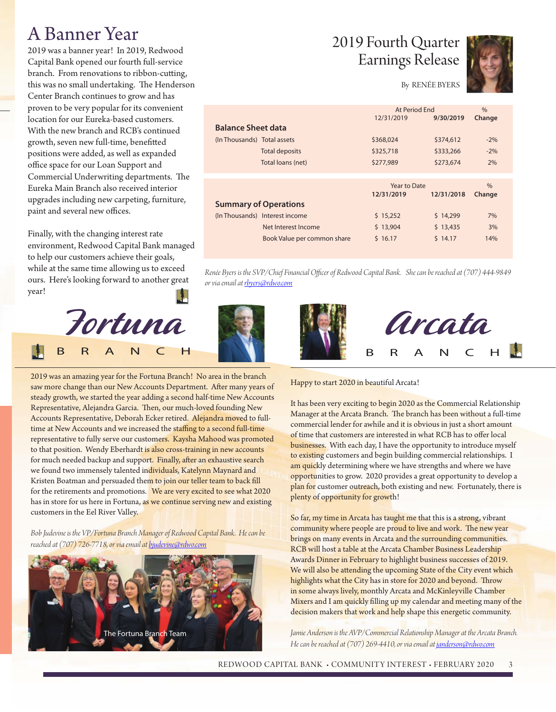## A Banner Year

2019 was a banner year! In 2019, Redwood Capital Bank opened our fourth full-service branch. From renovations to ribbon-cuting, this was no small undertaking. The Henderson Center Branch continues to grow and has proven to be very popular for its convenient location for our Eureka-based customers. With the new branch and RCB's continued growth, seven new full-time, benefted positions were added, as well as expanded office space for our Loan Support and Commercial Underwriting departments. The Eureka Main Branch also received interior upgrades including new carpeting, furniture, paint and several new offices.

Finally, with the changing interest rate environment, Redwood Capital Bank managed to help our customers achieve their goals, while at the same time allowing us to exceed ours. Here's looking forward to another great year!



2019 was an amazing year for the Fortuna Branch! No area in the branch saw more change than our New Accounts Department. After many years of steady growth, we started the year adding a second half-time New Accounts Representative, Alejandra Garcia. Then, our much-loved founding New Accounts Representative, Deborah Ecker retired. Alejandra moved to fulltime at New Accounts and we increased the staffing to a second full-time representative to fully serve our customers. Kaysha Mahood was promoted to that position. Wendy Eberhardt is also cross-training in new accounts for much needed backup and support. Finally, after an exhaustive search we found two immensely talented individuals, Katelynn Maynard and Kristen Boatman and persuaded them to join our teller team to back fill for the retirements and promotions. We are very excited to see what 2020 has in store for us here in Fortuna, as we continue serving new and existing customers in the Eel River Valley.

*Bob Judevine is the VP/Fortuna Branch Manager of Redwood Capital Bank. He can be reached at (707) 726-7718, or via email at bjudevine@rdwo.com*



### 2019 Fourth Quarter Earnings Release



#### By RENÉE BYERS

At Period End

|                             |                                | 12/31/2019   | 9/30/2019  | Change |
|-----------------------------|--------------------------------|--------------|------------|--------|
| <b>Balance Sheet data</b>   |                                |              |            |        |
| (In Thousands) Total assets |                                | \$368,024    | \$374,612  | $-2%$  |
|                             | <b>Total deposits</b>          | \$325,718    | \$333,266  | $-2\%$ |
|                             | Total loans (net)              | \$277,989    | \$273,674  | 2%     |
|                             |                                |              |            |        |
|                             |                                | Year to Date |            |        |
|                             |                                |              |            | $\%$   |
|                             |                                | 12/31/2019   | 12/31/2018 | Change |
|                             | <b>Summary of Operations</b>   |              |            |        |
|                             | (In Thousands) Interest income | \$15,252     | \$14,299   | 7%     |
|                             | Net Interest Income            | \$13,904     | \$13,435   | 3%     |

Renée Byers is the SVP/Chief Financial Officer of Redwood Capital Bank. She can be reached at (707) 444-9849 *or via email at rbyers@rdwo.com*





#### Happy to start 2020 in beautiful Arcata!

It has been very exciting to begin 2020 as the Commercial Relationship Manager at the Arcata Branch. The branch has been without a full-time commercial lender for awhile and it is obvious in just a short amount of time that customers are interested in what RCB has to offer local businesses. With each day, I have the opportunity to introduce myself to existing customers and begin building commercial relationships. I am quickly determining where we have strengths and where we have opportunities to grow. 2020 provides a great opportunity to develop a plan for customer outreach, both existing and new. Fortunately, there is plenty of opportunity for growth!

So far, my time in Arcata has taught me that this is a strong, vibrant community where people are proud to live and work. The new year brings on many events in Arcata and the surrounding communities. RCB will host a table at the Arcata Chamber Business Leadership Awards Dinner in February to highlight business successes of 2019. We will also be attending the upcoming State of the City event which highlights what the City has in store for 2020 and beyond. Throw in some always lively, monthly Arcata and McKinleyville Chamber Mixers and I am quickly flling up my calendar and meeting many of the decision makers that work and help shape this energetic community.

Jamie Anderson is the AVP/Commercial Relationship Manager at the Arcata Branch. *He can be reached at (707) 269-4410, or via email at janderson@rdwo.com*